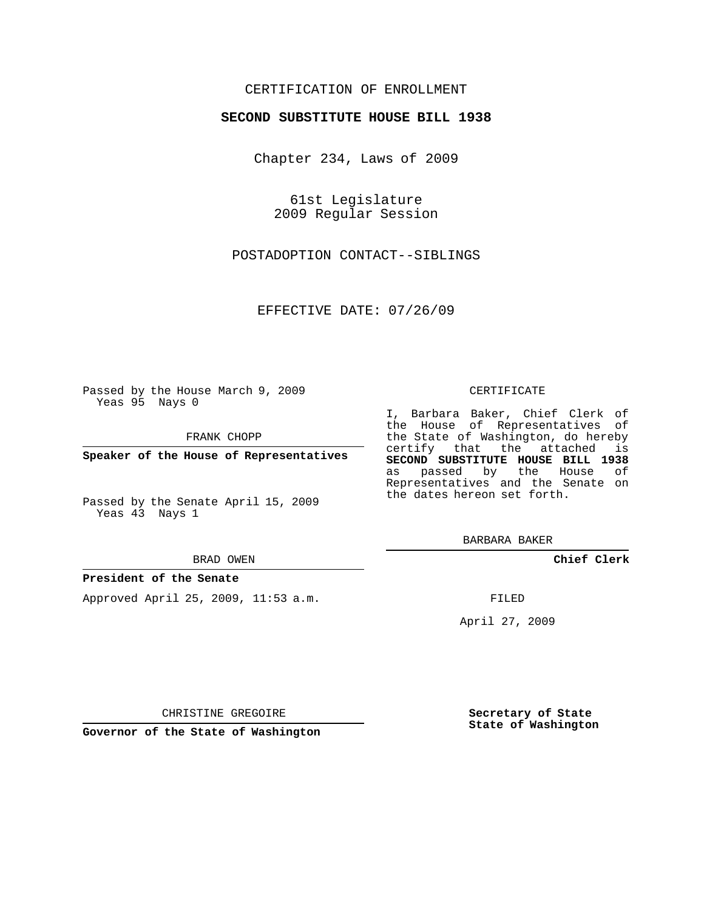# CERTIFICATION OF ENROLLMENT

## **SECOND SUBSTITUTE HOUSE BILL 1938**

Chapter 234, Laws of 2009

61st Legislature 2009 Regular Session

POSTADOPTION CONTACT--SIBLINGS

EFFECTIVE DATE: 07/26/09

Passed by the House March 9, 2009 Yeas 95 Nays 0

FRANK CHOPP

**Speaker of the House of Representatives**

Passed by the Senate April 15, 2009 Yeas 43 Nays 1

#### BRAD OWEN

### **President of the Senate**

Approved April 25, 2009, 11:53 a.m.

#### CERTIFICATE

I, Barbara Baker, Chief Clerk of the House of Representatives of the State of Washington, do hereby certify that the attached is **SECOND SUBSTITUTE HOUSE BILL 1938** as passed by the House of Representatives and the Senate on the dates hereon set forth.

BARBARA BAKER

**Chief Clerk**

FILED

April 27, 2009

CHRISTINE GREGOIRE

**Governor of the State of Washington**

**Secretary of State State of Washington**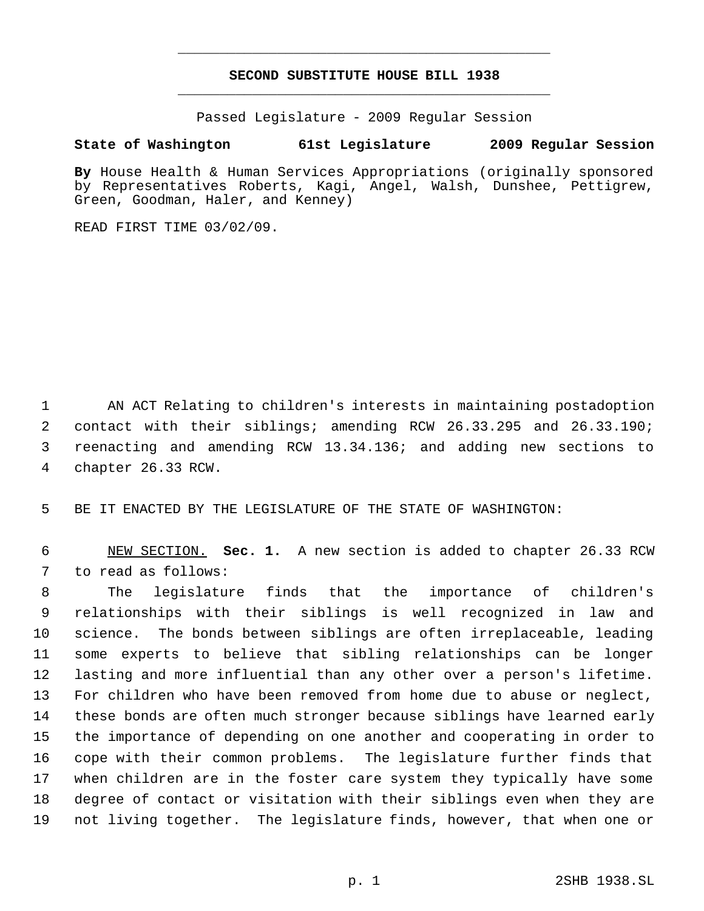# **SECOND SUBSTITUTE HOUSE BILL 1938** \_\_\_\_\_\_\_\_\_\_\_\_\_\_\_\_\_\_\_\_\_\_\_\_\_\_\_\_\_\_\_\_\_\_\_\_\_\_\_\_\_\_\_\_\_

\_\_\_\_\_\_\_\_\_\_\_\_\_\_\_\_\_\_\_\_\_\_\_\_\_\_\_\_\_\_\_\_\_\_\_\_\_\_\_\_\_\_\_\_\_

Passed Legislature - 2009 Regular Session

# **State of Washington 61st Legislature 2009 Regular Session**

**By** House Health & Human Services Appropriations (originally sponsored by Representatives Roberts, Kagi, Angel, Walsh, Dunshee, Pettigrew, Green, Goodman, Haler, and Kenney)

READ FIRST TIME 03/02/09.

 AN ACT Relating to children's interests in maintaining postadoption contact with their siblings; amending RCW 26.33.295 and 26.33.190; reenacting and amending RCW 13.34.136; and adding new sections to chapter 26.33 RCW.

BE IT ENACTED BY THE LEGISLATURE OF THE STATE OF WASHINGTON:

 NEW SECTION. **Sec. 1.** A new section is added to chapter 26.33 RCW to read as follows:

 The legislature finds that the importance of children's relationships with their siblings is well recognized in law and science. The bonds between siblings are often irreplaceable, leading some experts to believe that sibling relationships can be longer lasting and more influential than any other over a person's lifetime. For children who have been removed from home due to abuse or neglect, these bonds are often much stronger because siblings have learned early the importance of depending on one another and cooperating in order to cope with their common problems. The legislature further finds that when children are in the foster care system they typically have some degree of contact or visitation with their siblings even when they are not living together. The legislature finds, however, that when one or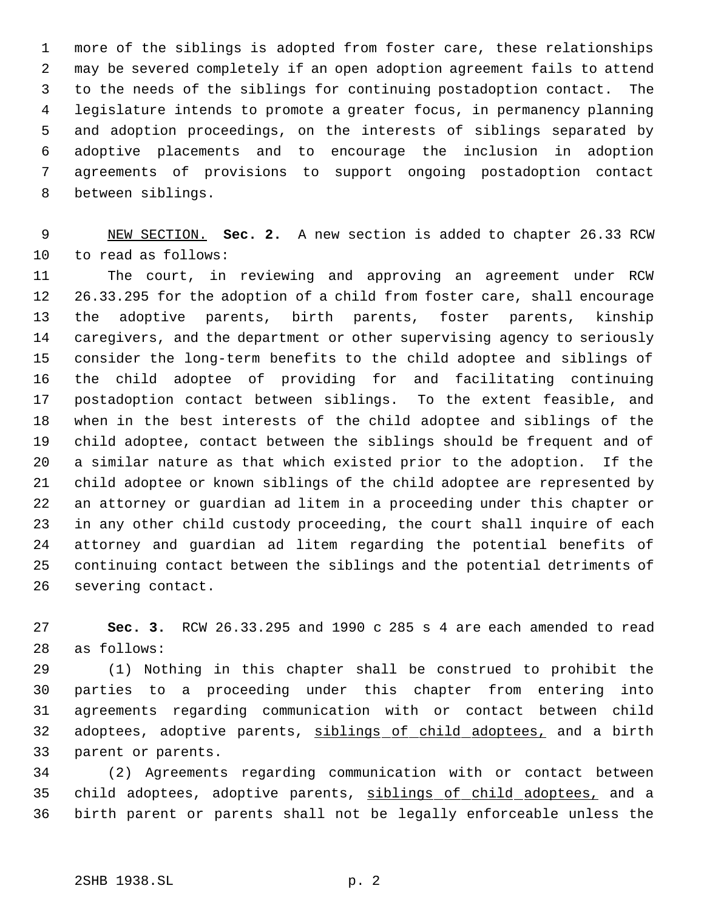more of the siblings is adopted from foster care, these relationships may be severed completely if an open adoption agreement fails to attend to the needs of the siblings for continuing postadoption contact. The legislature intends to promote a greater focus, in permanency planning and adoption proceedings, on the interests of siblings separated by adoptive placements and to encourage the inclusion in adoption agreements of provisions to support ongoing postadoption contact between siblings.

 NEW SECTION. **Sec. 2.** A new section is added to chapter 26.33 RCW to read as follows:

 The court, in reviewing and approving an agreement under RCW 26.33.295 for the adoption of a child from foster care, shall encourage the adoptive parents, birth parents, foster parents, kinship caregivers, and the department or other supervising agency to seriously consider the long-term benefits to the child adoptee and siblings of the child adoptee of providing for and facilitating continuing postadoption contact between siblings. To the extent feasible, and when in the best interests of the child adoptee and siblings of the child adoptee, contact between the siblings should be frequent and of a similar nature as that which existed prior to the adoption. If the child adoptee or known siblings of the child adoptee are represented by an attorney or guardian ad litem in a proceeding under this chapter or in any other child custody proceeding, the court shall inquire of each attorney and guardian ad litem regarding the potential benefits of continuing contact between the siblings and the potential detriments of severing contact.

 **Sec. 3.** RCW 26.33.295 and 1990 c 285 s 4 are each amended to read as follows:

 (1) Nothing in this chapter shall be construed to prohibit the parties to a proceeding under this chapter from entering into agreements regarding communication with or contact between child 32 adoptees, adoptive parents, siblings of child adoptees, and a birth parent or parents.

 (2) Agreements regarding communication with or contact between 35 child adoptees, adoptive parents, siblings of child adoptees, and a birth parent or parents shall not be legally enforceable unless the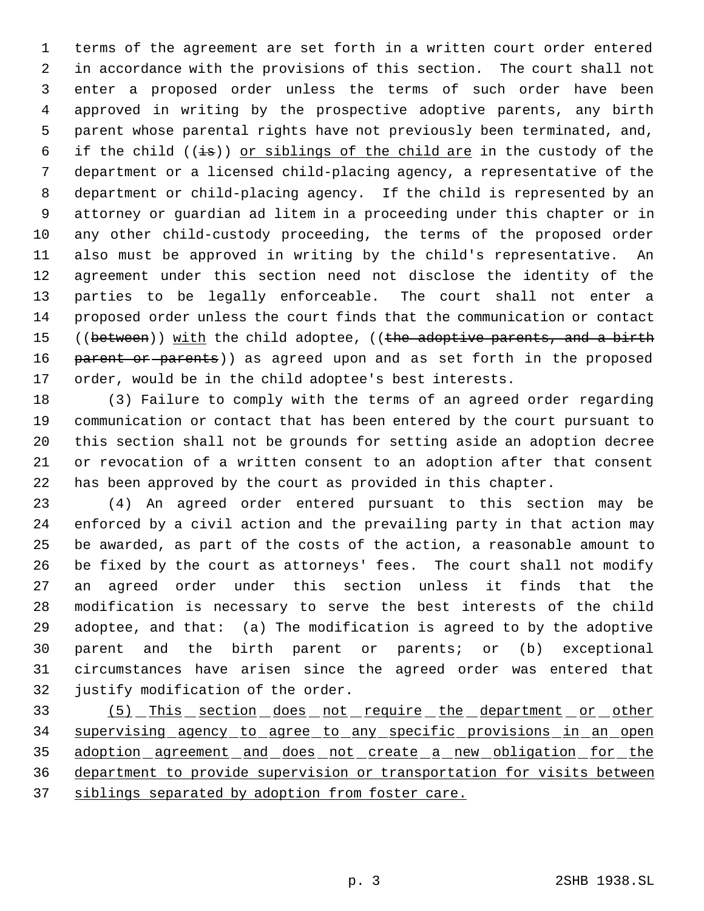terms of the agreement are set forth in a written court order entered in accordance with the provisions of this section. The court shall not enter a proposed order unless the terms of such order have been approved in writing by the prospective adoptive parents, any birth parent whose parental rights have not previously been terminated, and, 6 if the child  $((\frac{1}{15}))$  or siblings of the child are in the custody of the department or a licensed child-placing agency, a representative of the department or child-placing agency. If the child is represented by an attorney or guardian ad litem in a proceeding under this chapter or in any other child-custody proceeding, the terms of the proposed order also must be approved in writing by the child's representative. An agreement under this section need not disclose the identity of the parties to be legally enforceable. The court shall not enter a proposed order unless the court finds that the communication or contact 15 ((between)) with the child adoptee, ((the adoptive parents, and a birth 16 parent or parents)) as agreed upon and as set forth in the proposed order, would be in the child adoptee's best interests.

 (3) Failure to comply with the terms of an agreed order regarding communication or contact that has been entered by the court pursuant to this section shall not be grounds for setting aside an adoption decree or revocation of a written consent to an adoption after that consent has been approved by the court as provided in this chapter.

 (4) An agreed order entered pursuant to this section may be enforced by a civil action and the prevailing party in that action may be awarded, as part of the costs of the action, a reasonable amount to be fixed by the court as attorneys' fees. The court shall not modify an agreed order under this section unless it finds that the modification is necessary to serve the best interests of the child adoptee, and that: (a) The modification is agreed to by the adoptive parent and the birth parent or parents; or (b) exceptional circumstances have arisen since the agreed order was entered that justify modification of the order.

33 (5) This section does not require the department or other supervising agency to agree to any specific provisions in an open 35 adoption agreement and does not create a new obligation for the department to provide supervision or transportation for visits between 37 siblings separated by adoption from foster care.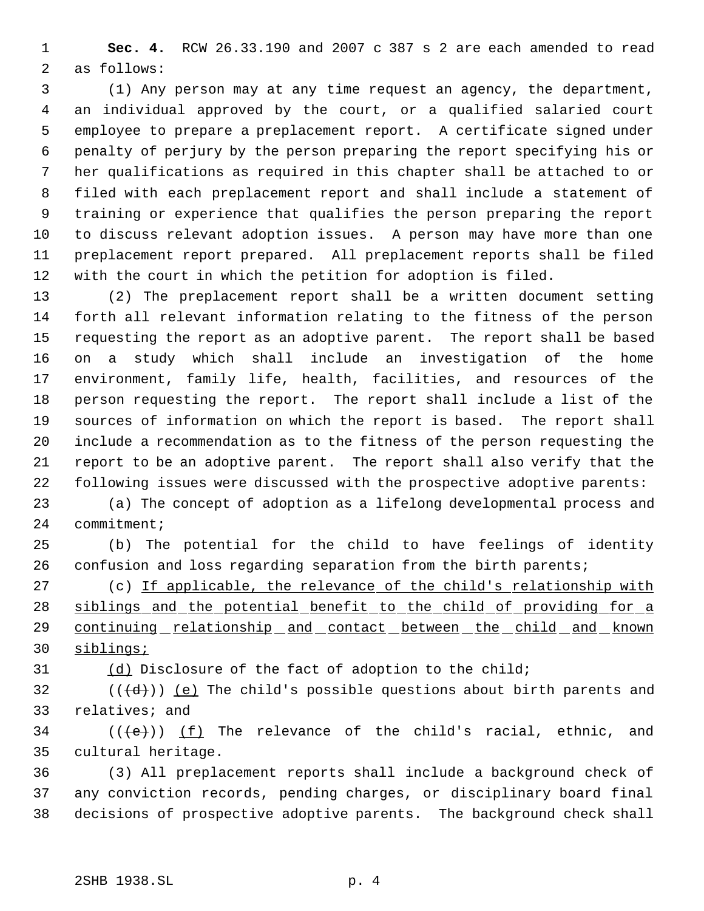**Sec. 4.** RCW 26.33.190 and 2007 c 387 s 2 are each amended to read as follows:

 (1) Any person may at any time request an agency, the department, an individual approved by the court, or a qualified salaried court employee to prepare a preplacement report. A certificate signed under penalty of perjury by the person preparing the report specifying his or her qualifications as required in this chapter shall be attached to or filed with each preplacement report and shall include a statement of training or experience that qualifies the person preparing the report to discuss relevant adoption issues. A person may have more than one preplacement report prepared. All preplacement reports shall be filed with the court in which the petition for adoption is filed.

 (2) The preplacement report shall be a written document setting forth all relevant information relating to the fitness of the person requesting the report as an adoptive parent. The report shall be based on a study which shall include an investigation of the home environment, family life, health, facilities, and resources of the person requesting the report. The report shall include a list of the sources of information on which the report is based. The report shall include a recommendation as to the fitness of the person requesting the report to be an adoptive parent. The report shall also verify that the following issues were discussed with the prospective adoptive parents:

 (a) The concept of adoption as a lifelong developmental process and 24 commitment;

 (b) The potential for the child to have feelings of identity 26 confusion and loss regarding separation from the birth parents;

 (c) If applicable, the relevance of the child's relationship with siblings and the potential benefit to the child of providing for a 29 continuing relationship and contact between the child and known siblings;

(d) Disclosure of the fact of adoption to the child;

32 ( $(\overline{d})$ ) (e) The child's possible questions about birth parents and relatives; and

34 ( $(\langle e \rangle)$ ) <u>(f)</u> The relevance of the child's racial, ethnic, and cultural heritage.

 (3) All preplacement reports shall include a background check of any conviction records, pending charges, or disciplinary board final decisions of prospective adoptive parents. The background check shall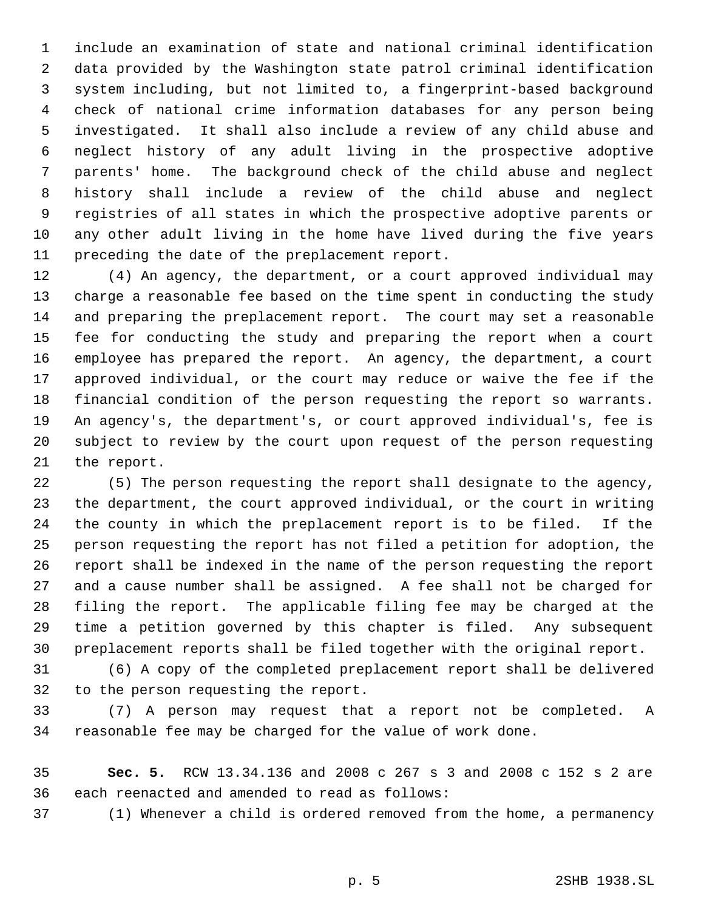include an examination of state and national criminal identification data provided by the Washington state patrol criminal identification system including, but not limited to, a fingerprint-based background check of national crime information databases for any person being investigated. It shall also include a review of any child abuse and neglect history of any adult living in the prospective adoptive parents' home. The background check of the child abuse and neglect history shall include a review of the child abuse and neglect registries of all states in which the prospective adoptive parents or any other adult living in the home have lived during the five years preceding the date of the preplacement report.

 (4) An agency, the department, or a court approved individual may charge a reasonable fee based on the time spent in conducting the study and preparing the preplacement report. The court may set a reasonable fee for conducting the study and preparing the report when a court employee has prepared the report. An agency, the department, a court approved individual, or the court may reduce or waive the fee if the financial condition of the person requesting the report so warrants. An agency's, the department's, or court approved individual's, fee is subject to review by the court upon request of the person requesting the report.

 (5) The person requesting the report shall designate to the agency, the department, the court approved individual, or the court in writing the county in which the preplacement report is to be filed. If the person requesting the report has not filed a petition for adoption, the report shall be indexed in the name of the person requesting the report and a cause number shall be assigned. A fee shall not be charged for filing the report. The applicable filing fee may be charged at the time a petition governed by this chapter is filed. Any subsequent preplacement reports shall be filed together with the original report.

 (6) A copy of the completed preplacement report shall be delivered to the person requesting the report.

 (7) A person may request that a report not be completed. A reasonable fee may be charged for the value of work done.

 **Sec. 5.** RCW 13.34.136 and 2008 c 267 s 3 and 2008 c 152 s 2 are each reenacted and amended to read as follows:

(1) Whenever a child is ordered removed from the home, a permanency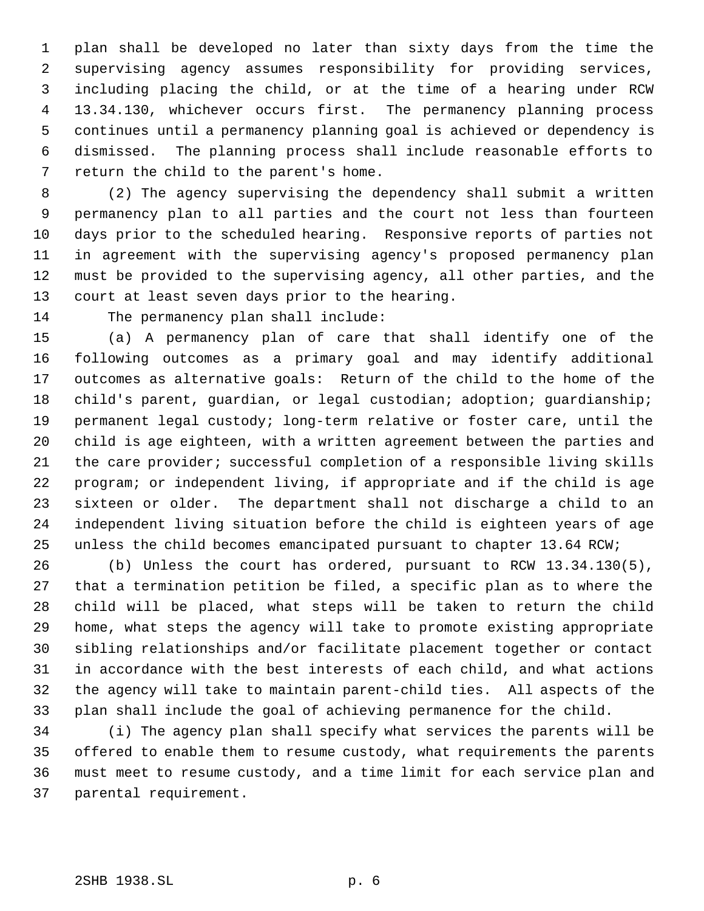plan shall be developed no later than sixty days from the time the supervising agency assumes responsibility for providing services, including placing the child, or at the time of a hearing under RCW 13.34.130, whichever occurs first. The permanency planning process continues until a permanency planning goal is achieved or dependency is dismissed. The planning process shall include reasonable efforts to return the child to the parent's home.

 (2) The agency supervising the dependency shall submit a written permanency plan to all parties and the court not less than fourteen days prior to the scheduled hearing. Responsive reports of parties not in agreement with the supervising agency's proposed permanency plan must be provided to the supervising agency, all other parties, and the court at least seven days prior to the hearing.

The permanency plan shall include:

 (a) A permanency plan of care that shall identify one of the following outcomes as a primary goal and may identify additional outcomes as alternative goals: Return of the child to the home of the 18 child's parent, guardian, or legal custodian; adoption; guardianship; permanent legal custody; long-term relative or foster care, until the child is age eighteen, with a written agreement between the parties and the care provider; successful completion of a responsible living skills program; or independent living, if appropriate and if the child is age sixteen or older. The department shall not discharge a child to an independent living situation before the child is eighteen years of age unless the child becomes emancipated pursuant to chapter 13.64 RCW;

 (b) Unless the court has ordered, pursuant to RCW 13.34.130(5), that a termination petition be filed, a specific plan as to where the child will be placed, what steps will be taken to return the child home, what steps the agency will take to promote existing appropriate sibling relationships and/or facilitate placement together or contact in accordance with the best interests of each child, and what actions the agency will take to maintain parent-child ties. All aspects of the plan shall include the goal of achieving permanence for the child.

 (i) The agency plan shall specify what services the parents will be offered to enable them to resume custody, what requirements the parents must meet to resume custody, and a time limit for each service plan and parental requirement.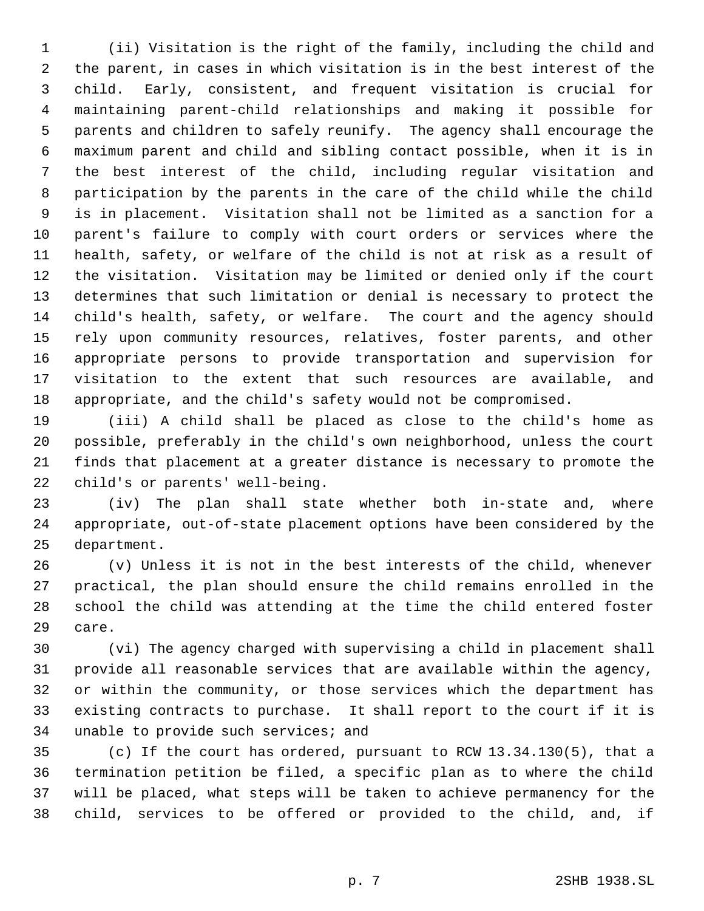(ii) Visitation is the right of the family, including the child and the parent, in cases in which visitation is in the best interest of the child. Early, consistent, and frequent visitation is crucial for maintaining parent-child relationships and making it possible for parents and children to safely reunify. The agency shall encourage the maximum parent and child and sibling contact possible, when it is in the best interest of the child, including regular visitation and participation by the parents in the care of the child while the child is in placement. Visitation shall not be limited as a sanction for a parent's failure to comply with court orders or services where the health, safety, or welfare of the child is not at risk as a result of the visitation. Visitation may be limited or denied only if the court determines that such limitation or denial is necessary to protect the child's health, safety, or welfare. The court and the agency should rely upon community resources, relatives, foster parents, and other appropriate persons to provide transportation and supervision for visitation to the extent that such resources are available, and appropriate, and the child's safety would not be compromised.

 (iii) A child shall be placed as close to the child's home as possible, preferably in the child's own neighborhood, unless the court finds that placement at a greater distance is necessary to promote the child's or parents' well-being.

 (iv) The plan shall state whether both in-state and, where appropriate, out-of-state placement options have been considered by the department.

 (v) Unless it is not in the best interests of the child, whenever practical, the plan should ensure the child remains enrolled in the school the child was attending at the time the child entered foster care.

 (vi) The agency charged with supervising a child in placement shall provide all reasonable services that are available within the agency, or within the community, or those services which the department has existing contracts to purchase. It shall report to the court if it is unable to provide such services; and

 (c) If the court has ordered, pursuant to RCW 13.34.130(5), that a termination petition be filed, a specific plan as to where the child will be placed, what steps will be taken to achieve permanency for the child, services to be offered or provided to the child, and, if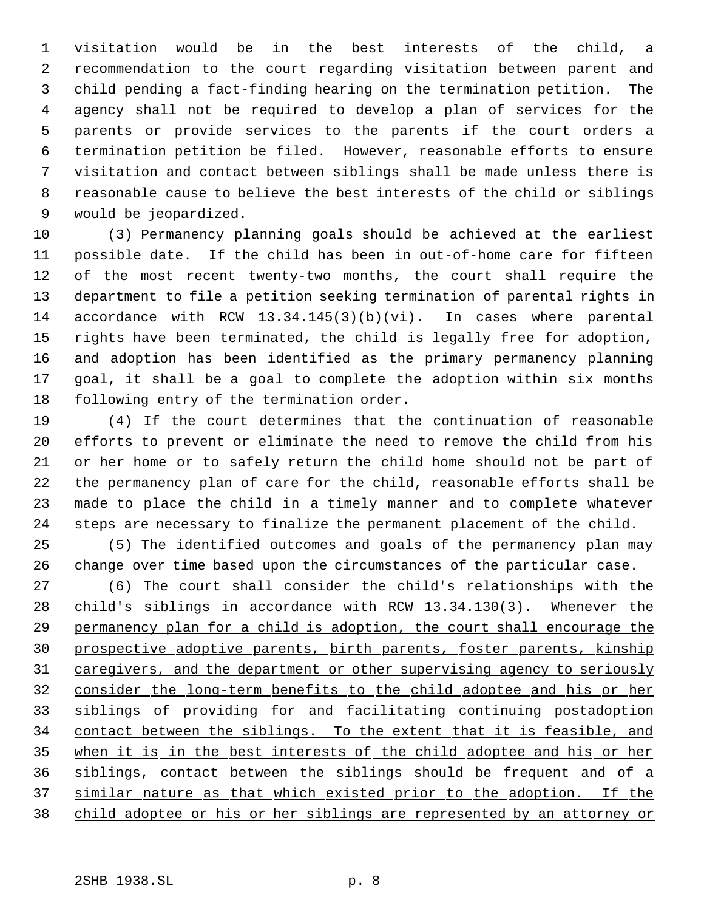visitation would be in the best interests of the child, a recommendation to the court regarding visitation between parent and child pending a fact-finding hearing on the termination petition. The agency shall not be required to develop a plan of services for the parents or provide services to the parents if the court orders a termination petition be filed. However, reasonable efforts to ensure visitation and contact between siblings shall be made unless there is reasonable cause to believe the best interests of the child or siblings would be jeopardized.

 (3) Permanency planning goals should be achieved at the earliest possible date. If the child has been in out-of-home care for fifteen of the most recent twenty-two months, the court shall require the department to file a petition seeking termination of parental rights in accordance with RCW 13.34.145(3)(b)(vi). In cases where parental rights have been terminated, the child is legally free for adoption, and adoption has been identified as the primary permanency planning goal, it shall be a goal to complete the adoption within six months following entry of the termination order.

 (4) If the court determines that the continuation of reasonable efforts to prevent or eliminate the need to remove the child from his or her home or to safely return the child home should not be part of the permanency plan of care for the child, reasonable efforts shall be made to place the child in a timely manner and to complete whatever steps are necessary to finalize the permanent placement of the child.

 (5) The identified outcomes and goals of the permanency plan may change over time based upon the circumstances of the particular case. (6) The court shall consider the child's relationships with the 28 child's siblings in accordance with RCW 13.34.130(3). Whenever the permanency plan for a child is adoption, the court shall encourage the prospective adoptive parents, birth parents, foster parents, kinship 31 caregivers, and the department or other supervising agency to seriously consider the long-term benefits to the child adoptee and his or her siblings of providing for and facilitating continuing postadoption 34 contact between the siblings. To the extent that it is feasible, and 35 when it is in the best interests of the child adoptee and his or her siblings, contact between the siblings should be frequent and of a similar nature as that which existed prior to the adoption. If the child adoptee or his or her siblings are represented by an attorney or